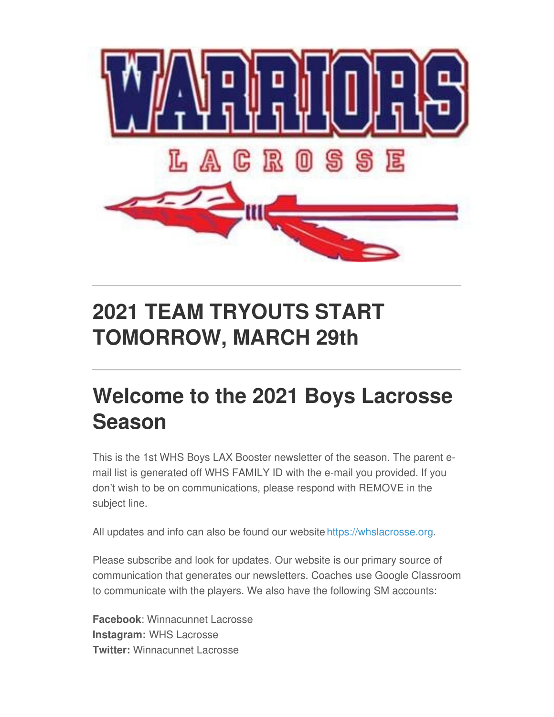

## **2021 TEAM TRYOUTS START TOMORROW, MARCH 29th**

## **Welcome to the 2021 Boys Lacrosse Season**

This is the 1st WHS Boys LAX Booster newsletter of the season. The parent email list is generated off WHS FAMILY ID with the e-mail you provided. If you don't wish to be on communications, please respond with REMOVE in the subject line.

All updates and info can also be found our website <https://whslacrosse.org>.

Please subscribe and look for updates. Our website is our primary source of communication that generates our newsletters. Coaches use Google Classroom to communicate with the players. We also have the following SM accounts:

**Facebook**: Winnacunnet Lacrosse **Instagram:** WHS Lacrosse **Twitter:** Winnacunnet Lacrosse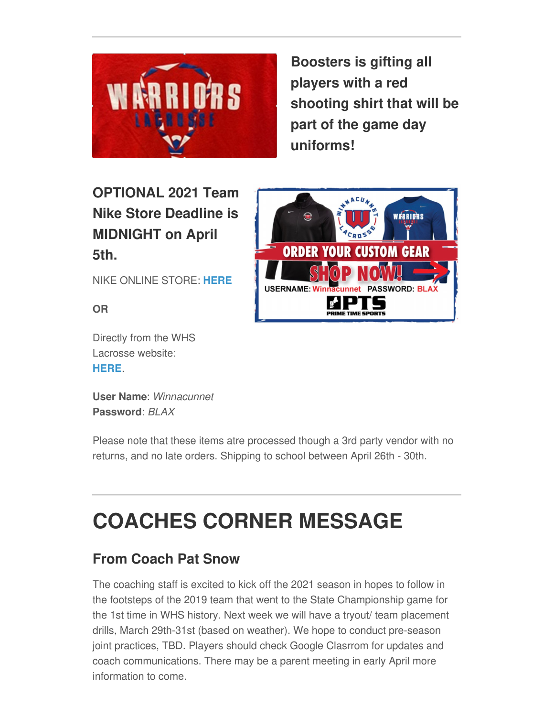

**Boosters is gifting all players with a red shooting shirt that will be part of the game day uniforms!**

### **OPTIONAL 2021 Team Nike Store Deadline is MIDNIGHT on April 5th.**

NIKE ONLINE STORE: **[HERE](https://ptsteam.com/winnlax)**

**OR**

Directly from the WHS Lacrosse website: **[HERE](http://www.whslacrosse.org)**.

**User Name**: *Winnacunnet* **Password**: *BLAX*

Please note that these items atre processed though a 3rd party vendor with no returns, and no late orders. Shipping to school between April 26th - 30th.

# **COACHES CORNER MESSAGE**

#### **From Coach Pat Snow**

The coaching staff is excited to kick off the 2021 season in hopes to follow in the footsteps of the 2019 team that went to the State Championship game for the 1st time in WHS history. Next week we will have a tryout/ team placement drills, March 29th-31st (based on weather). We hope to conduct pre-season joint practices, TBD. Players should check Google Clasrrom for updates and coach communications. There may be a parent meeting in early April more information to come.

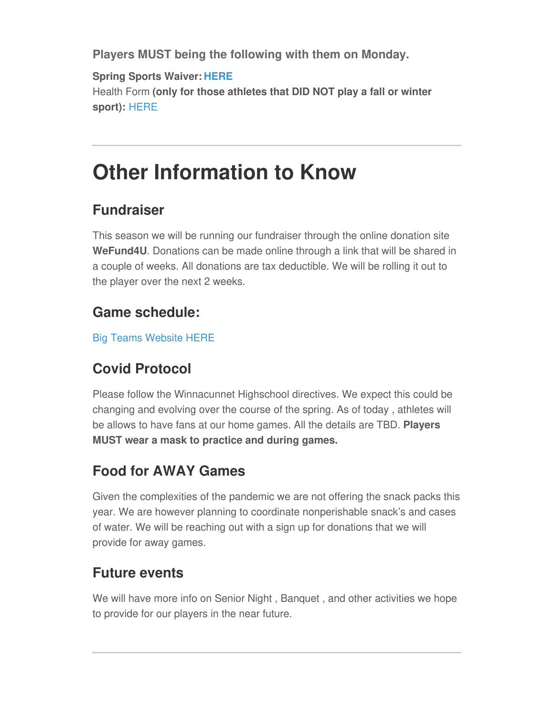**Players MUST being the following with them on Monday.**

**Spring Sports Waiver: [HERE](https://docs.google.com/forms/d/e/1FAIpQLSfz-98gwRi17yEN092K3zkVMgSJfEJz3vtJCGg7-aTe91BPXw/viewform)** Health Form **(only for those athletes that DID NOT play a fall or winter sport):** [HERE](https://mk0winnacunnettjx6q7.kinstacdn.com/wp-content/uploads/2020/06/Athletics-Health-History-Form.pdf)

## **Other Information to Know**

#### **Fundraiser**

This season we will be running our fundraiser through the online donation site **WeFund4U**. Donations can be made online through a link that will be shared in a couple of weeks. All donations are tax deductible. We will be rolling it out to the player over the next 2 weeks.

#### **Game schedule:**

Big Teams [Website](https://winnacunnetathletics.bigteams.com/) HERE

#### **Covid Protocol**

Please follow the Winnacunnet Highschool directives. We expect this could be changing and evolving over the course of the spring. As of today , athletes will be allows to have fans at our home games. All the details are TBD. **Players MUST wear a mask to practice and during games.**

#### **Food for AWAY Games**

Given the complexities of the pandemic we are not offering the snack packs this year. We are however planning to coordinate nonperishable snack's and cases of water. We will be reaching out with a sign up for donations that we will provide for away games.

#### **Future events**

We will have more info on Senior Night , Banquet , and other activities we hope to provide for our players in the near future.